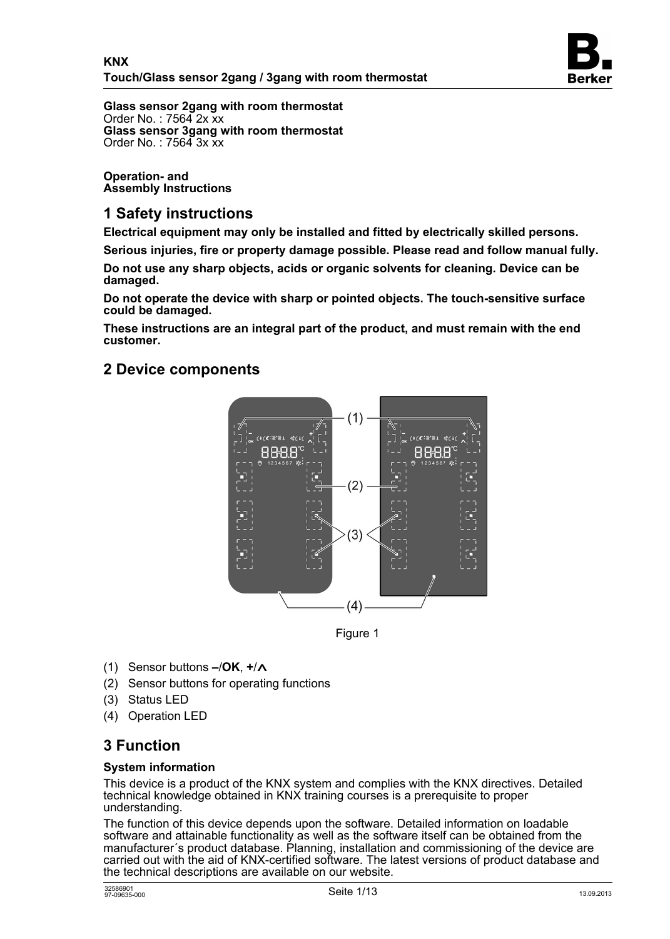

**Glass sensor 2gang with room thermostat**  Order No. : 7564 2x xx **Glass sensor 3gang with room thermostat**  Order No. : 7564 3x xx

**Operation- and Assembly Instructions** 

# **1 Safety instructions**

**Electrical equipment may only be installed and fitted by electrically skilled persons.** 

**Serious injuries, fire or property damage possible. Please read and follow manual fully.** 

**Do not use any sharp objects, acids or organic solvents for cleaning. Device can be damaged.** 

**Do not operate the device with sharp or pointed objects. The touch-sensitive surface could be damaged.** 

**These instructions are an integral part of the product, and must remain with the end customer.** 

## **2 Device components**



Figure 1

- (1) Sensor buttons  $-\prime$ OK,  $+\prime$ ∧
- (2) Sensor buttons for operating functions
- (3) Status LED
- (4) Operation LED

# **3 Function**

#### **System information**

This device is a product of the KNX system and complies with the KNX directives. Detailed technical knowledge obtained in KNX training courses is a prerequisite to proper understanding.

The function of this device depends upon the software. Detailed information on loadable software and attainable functionality as well as the software itself can be obtained from the manufacturer's product database. Planning, installation and commissioning of the device are carried out with the aid of KNX-certified software. The latest versions of product database and the technical descriptions are available on our website.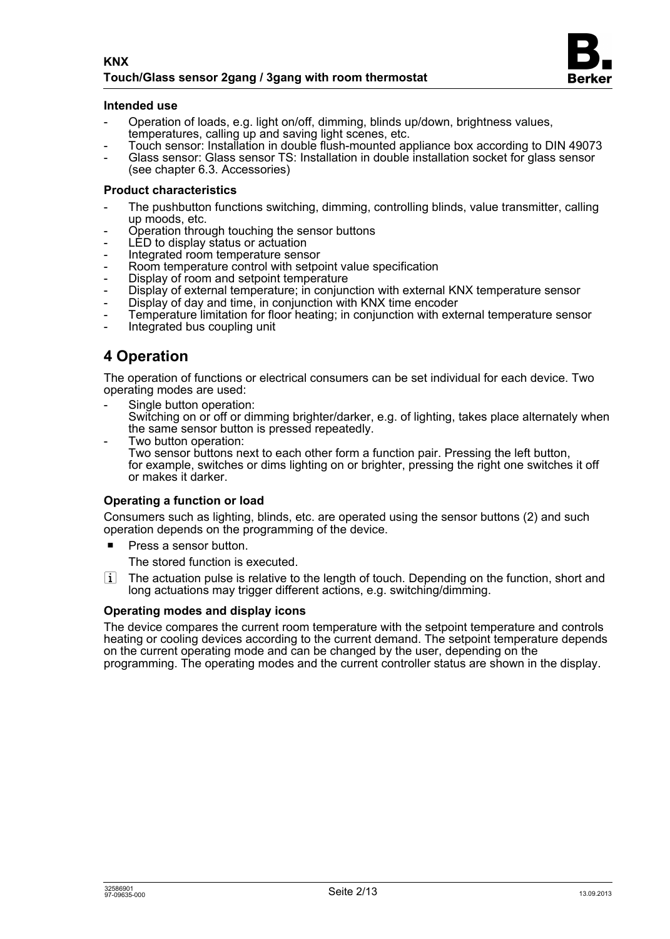

#### **Intended use**

- Operation of loads, e.g. light on/off, dimming, blinds up/down, brightness values, temperatures, calling up and saving light scenes, etc.
- Touch sensor: Installation in double flush-mounted appliance box according to DIN 49073
- Glass sensor: Glass sensor TS: Installation in double installation socket for glass sensor (see chapter 6.3. Accessories)

#### **Product characteristics**

- The pushbutton functions switching, dimming, controlling blinds, value transmitter, calling up moods, etc.
- Operation through touching the sensor buttons
- LED to display status or actuation
- Integrated room temperature sensor
- Room temperature control with setpoint value specification
- Display of room and setpoint temperature
- Display of external temperature; in conjunction with external KNX temperature sensor
- Display of day and time, in conjunction with KNX time encoder
- Temperature limitation for floor heating; in conjunction with external temperature sensor
- Integrated bus coupling unit

# **4 Operation**

The operation of functions or electrical consumers can be set individual for each device. Two operating modes are used:

Single button operation:

Switching on or off or dimming brighter/darker, e.g. of lighting, takes place alternately when the same sensor button is pressed repeatedly.

Two button operation: Two sensor buttons next to each other form a function pair. Pressing the left button, for example, switches or dims lighting on or brighter, pressing the right one switches it off or makes it darker.

#### **Operating a function or load**

Consumers such as lighting, blinds, etc. are operated using the sensor buttons (2) and such operation depends on the programming of the device.

 $\blacksquare$  Press a sensor button.

The stored function is executed.

 $\overline{ii}$  The actuation pulse is relative to the length of touch. Depending on the function, short and long actuations may trigger different actions, e.g. switching/dimming.

#### **Operating modes and display icons**

The device compares the current room temperature with the setpoint temperature and controls heating or cooling devices according to the current demand. The setpoint temperature depends on the current operating mode and can be changed by the user, depending on the programming. The operating modes and the current controller status are shown in the display.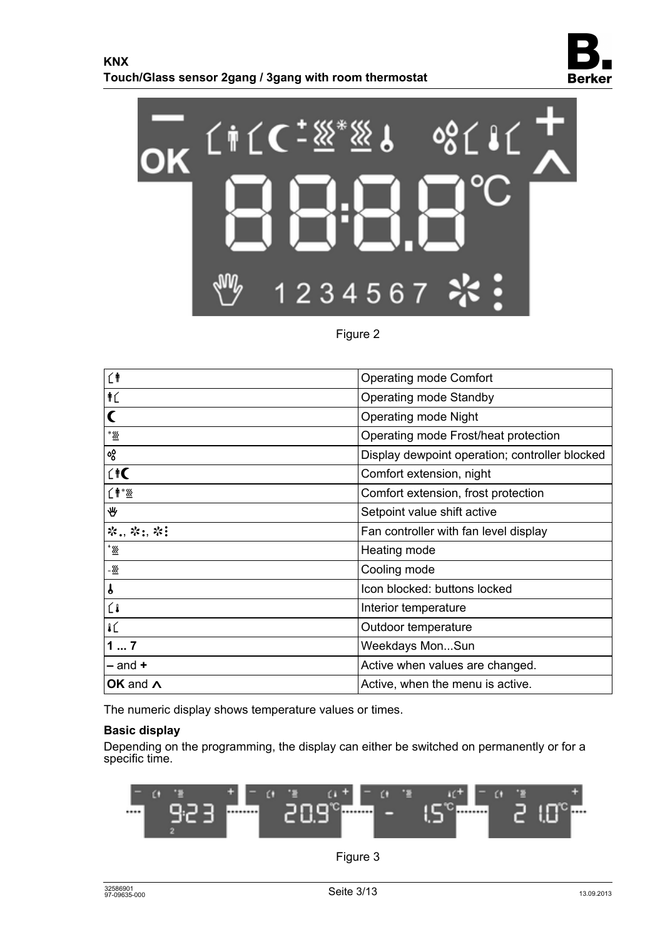



## Figure 2

| ĹŤ                         | <b>Operating mode Comfort</b>                  |
|----------------------------|------------------------------------------------|
| ŤĹ                         | Operating mode Standby                         |
|                            | <b>Operating mode Night</b>                    |
| * <u>\%</u>                | Operating mode Frost/heat protection           |
| აგ                         | Display dewpoint operation; controller blocked |
| $\hat{H}$                  | Comfort extension, night                       |
| 〔   * ※                    | Comfort extension, frost protection            |
| ₩                          | Setpoint value shift active                    |
| ※., ※:, ※!                 | Fan controller with fan level display          |
| $\underline{\mathbb{X}}^*$ | Heating mode                                   |
| - <u>W</u>                 | Cooling mode                                   |
| $\mathbf{f}$               | Icon blocked: buttons locked                   |
| Ĺl                         | Interior temperature                           |
| IL                         | Outdoor temperature                            |
| 17                         | Weekdays MonSun                                |
| $-$ and $+$                | Active when values are changed.                |
| OK and $\Lambda$           | Active, when the menu is active.               |
|                            |                                                |

The numeric display shows temperature values or times.

#### **Basic display**

Depending on the programming, the display can either be switched on permanently or for a specific time.



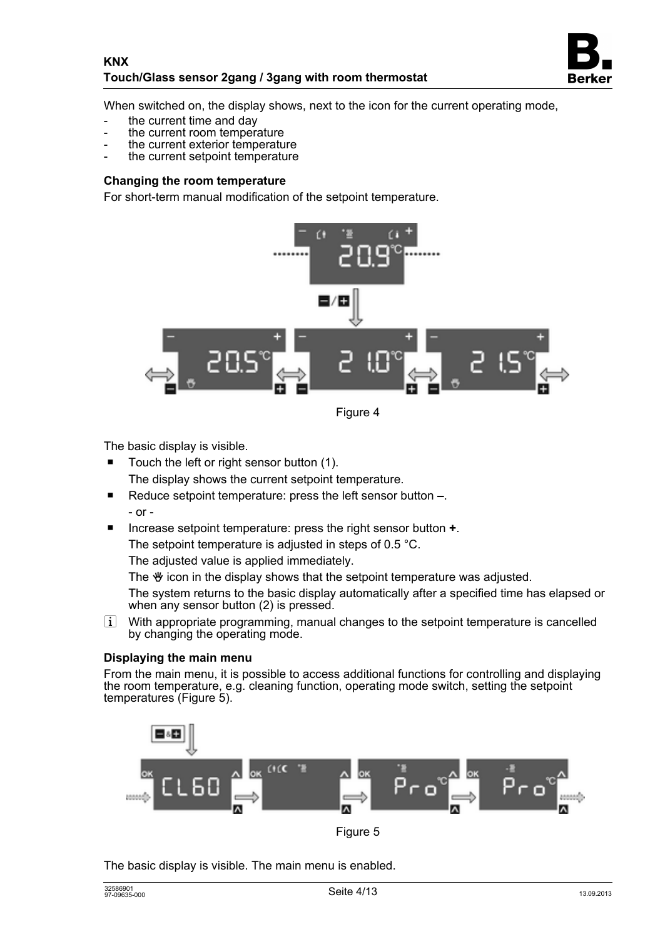

When switched on, the display shows, next to the icon for the current operating mode,

- the current time and day
- the current room temperature
- the current exterior temperature
- the current setpoint temperature

#### **Changing the room temperature**

For short-term manual modification of the setpoint temperature.



Figure 4

The basic display is visible.

- Touch the left or right sensor button (1). The display shows the current setpoint temperature.
- Reduce setpoint temperature: press the left sensor button –. - or -
- Increase setpoint temperature: press the right sensor button **+**.

The setpoint temperature is adjusted in steps of 0.5 °C.

The adjusted value is applied immediately.

The  $\mathcal Y$  icon in the display shows that the setpoint temperature was adjusted.

The system returns to the basic display automatically after a specified time has elapsed or when any sensor button (2) is pressed.

i With appropriate programming, manual changes to the setpoint temperature is cancelled by changing the operating mode.

#### **Displaying the main menu**

From the main menu, it is possible to access additional functions for controlling and displaying the room temperature, e.g. cleaning function, operating mode switch, setting the setpoint temperatures (Figure 5).



Figure 5

The basic display is visible. The main menu is enabled.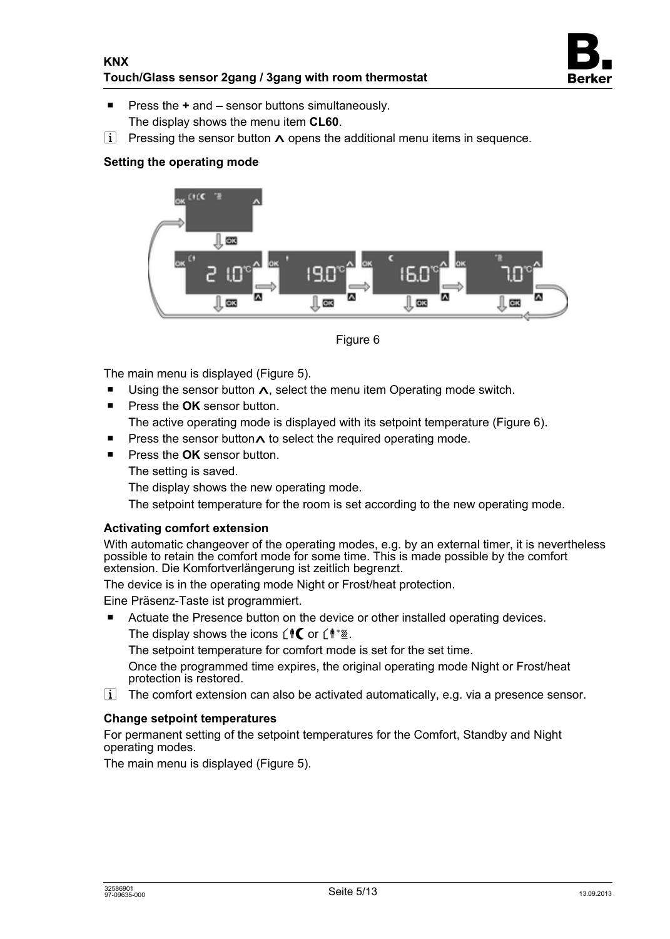

- Press the **+** and sensor buttons simultaneously. The display shows the menu item **CL60**.
- i Pressing the sensor button  $\Lambda$  opens the additional menu items in sequence.

### **Setting the operating mode**



Figure 6

The main menu is displayed (Figure 5).

- **Using the sensor button**  $\Lambda$ **, select the menu item Operating mode switch.**
- Press the **OK** sensor button. The active operating mode is displayed with its setpoint temperature (Figure 6).
- **Press the sensor button A to select the required operating mode.**
- **Press the OK** sensor button

The setting is saved.

The display shows the new operating mode.

The setpoint temperature for the room is set according to the new operating mode.

#### **Activating comfort extension**

With automatic changeover of the operating modes, e.g. by an external timer, it is nevertheless possible to retain the comfort mode for some time. This is made possible by the comfort extension. Die Komfortverlängerung ist zeitlich begrenzt.

The device is in the operating mode Night or Frost/heat protection.

Eine Präsenz-Taste ist programmiert.

■ Actuate the Presence button on the device or other installed operating devices.

The display shows the icons  $\hat{\mathbf{f}}$  or  $\hat{\mathbf{f}}$  \*...

The setpoint temperature for comfort mode is set for the set time.

Once the programmed time expires, the original operating mode Night or Frost/heat protection is restored.

 $\overline{1}$  The comfort extension can also be activated automatically, e.g. via a presence sensor.

#### **Change setpoint temperatures**

For permanent setting of the setpoint temperatures for the Comfort, Standby and Night operating modes.

The main menu is displayed (Figure 5).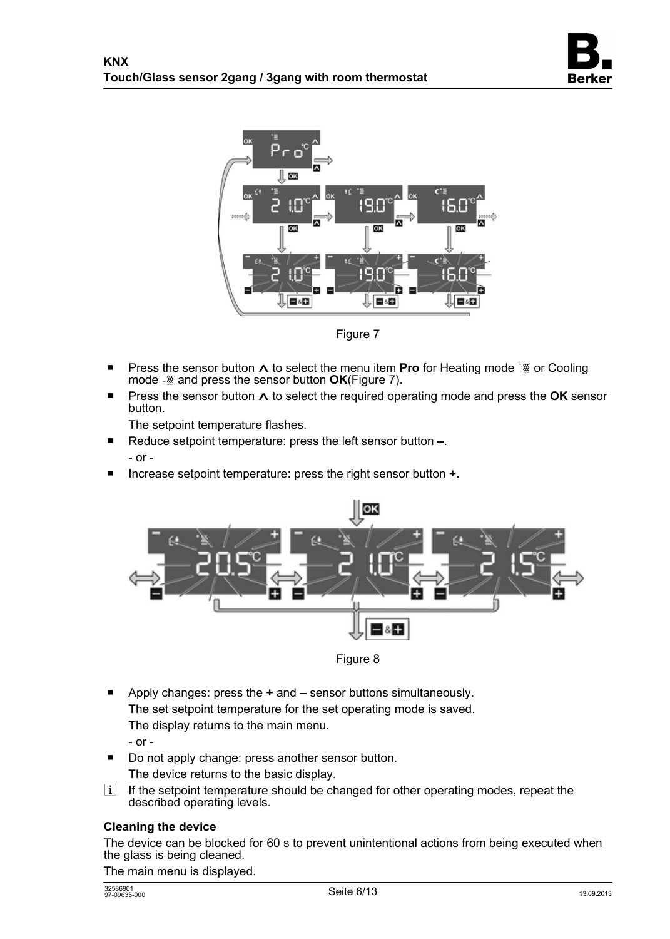



Figure 7

- Press the sensor button ∧ to select the menu item **Pro** for Heating mode <sup>\*</sup><sup>336</sup> or Cooling mode  $\frac{1}{2}$  and press the sensor button **OK**(Figure 7).
- **Press the sensor button**  $\Lambda$  **to select the required operating mode and press the OK sensor** button.

The setpoint temperature flashes.

- Reduce setpoint temperature: press the left sensor button –. - or -
- Increase setpoint temperature: press the right sensor button **+**.



Figure 8

- Apply changes: press the **+** and sensor buttons simultaneously. The set setpoint temperature for the set operating mode is saved. The display returns to the main menu.
	- or -
- Do not apply change: press another sensor button. The device returns to the basic display.
- $\overline{1}$  If the setpoint temperature should be changed for other operating modes, repeat the described operating levels.

### **Cleaning the device**

The device can be blocked for 60 s to prevent unintentional actions from being executed when the glass is being cleaned.

The main menu is displayed.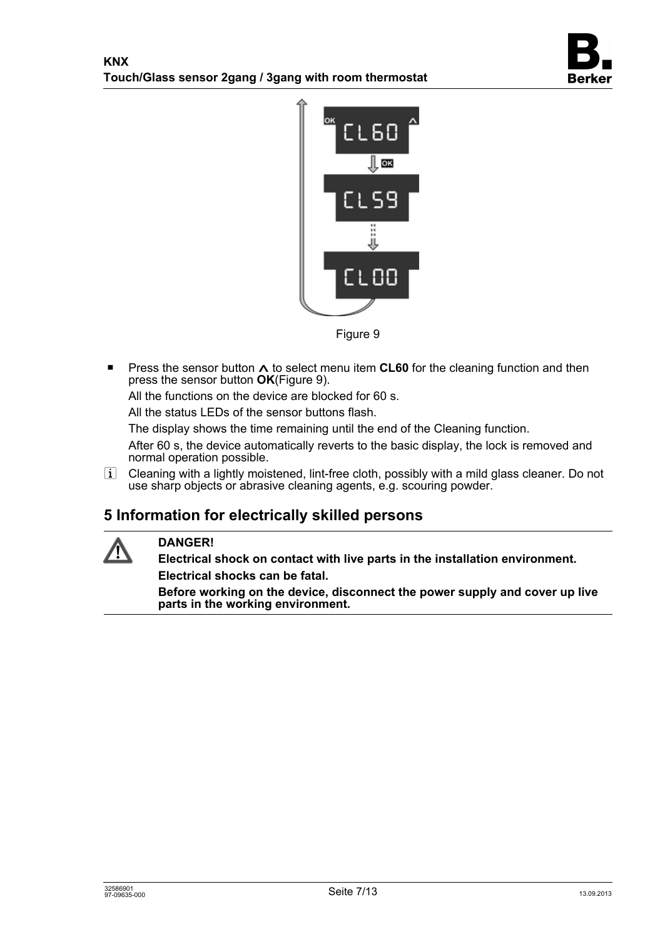



Figure 9

**Press the sensor button**  $\Lambda$  **to select menu item <b>CL60** for the cleaning function and then press the sensor button **OK**(Figure 9).

All the functions on the device are blocked for 60 s.

All the status LEDs of the sensor buttons flash.

The display shows the time remaining until the end of the Cleaning function.

After 60 s, the device automatically reverts to the basic display, the lock is removed and normal operation possible.

 $i$  Cleaning with a lightly moistened, lint-free cloth, possibly with a mild glass cleaner. Do not use sharp objects or abrasive cleaning agents, e.g. scouring powder.

# **5 Information for electrically skilled persons**



# **DANGER!**

**Electrical shock on contact with live parts in the installation environment. Electrical shocks can be fatal.** 

**Before working on the device, disconnect the power supply and cover up live parts in the working environment.**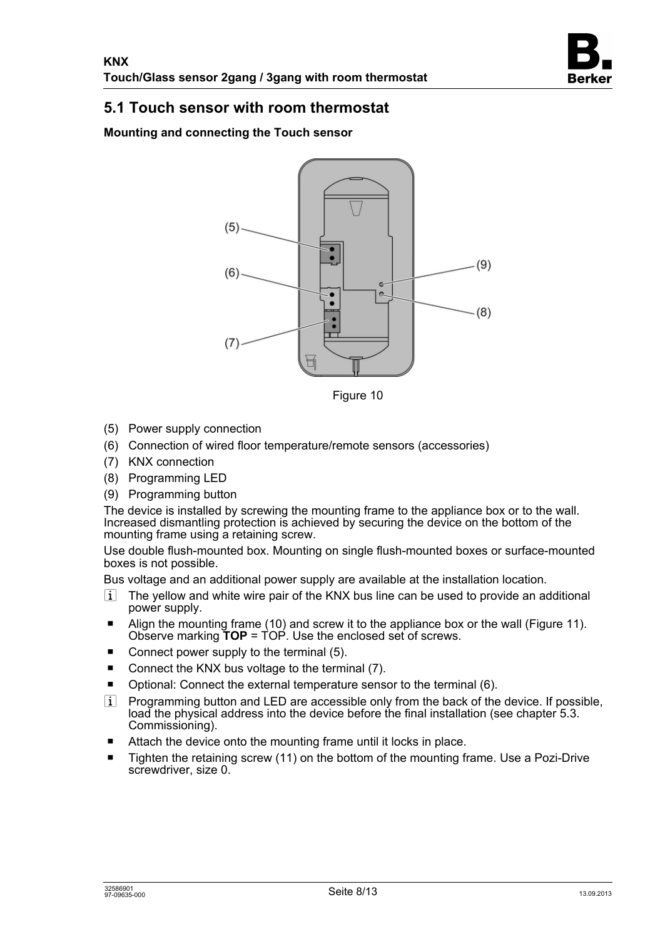

# **5.1 Touch sensor with room thermostat**

**Mounting and connecting the Touch sensor** 



Figure 10

- (5) Power supply connection
- (6) Connection of wired floor temperature/remote sensors (accessories)
- (7) KNX connection
- (8) Programming LED
- (9) Programming button

The device is installed by screwing the mounting frame to the appliance box or to the wall. Increased dismantling protection is achieved by securing the device on the bottom of the mounting frame using a retaining screw.

Use double flush-mounted box. Mounting on single flush-mounted boxes or surface-mounted boxes is not possible.

Bus voltage and an additional power supply are available at the installation location.

- $\overline{ii}$  The yellow and white wire pair of the KNX bus line can be used to provide an additional power supply.
- Align the mounting frame (10) and screw it to the appliance box or the wall (Figure 11). Observe marking **TOP** = TOP. Use the enclosed set of screws.
- Connect power supply to the terminal  $(5)$ .
- Connect the KNX bus voltage to the terminal  $(7)$ .
- $\blacksquare$  Optional: Connect the external temperature sensor to the terminal (6).
- $\overline{ii}$  Programming button and LED are accessible only from the back of the device. If possible, load the physical address into the device before the final installation (see chapter 5.3. Commissioning).
- $\blacksquare$  Attach the device onto the mounting frame until it locks in place.
- $\blacksquare$  Tighten the retaining screw (11) on the bottom of the mounting frame. Use a Pozi-Drive screwdriver, size 0.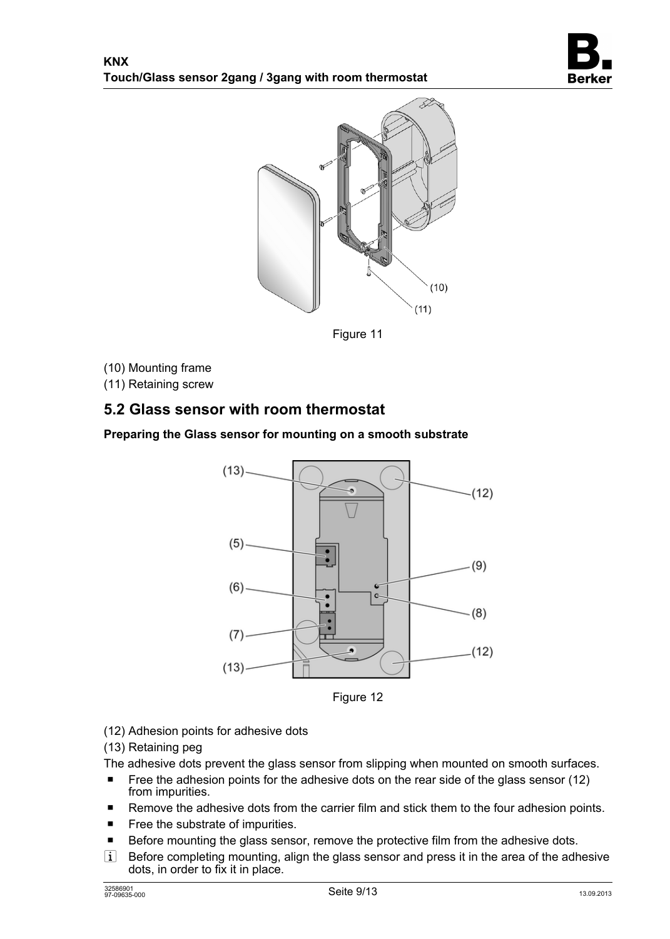



Figure 11

(10) Mounting frame

(11) Retaining screw

# **5.2 Glass sensor with room thermostat**

### **Preparing the Glass sensor for mounting on a smooth substrate**



Figure 12

### (12) Adhesion points for adhesive dots

(13) Retaining peg

The adhesive dots prevent the glass sensor from slipping when mounted on smooth surfaces.

- Free the adhesion points for the adhesive dots on the rear side of the glass sensor (12) from impurities.
- Remove the adhesive dots from the carrier film and stick them to the four adhesion points.
- $\blacksquare$  Free the substrate of impurities.
- Before mounting the glass sensor, remove the protective film from the adhesive dots.
- $\overline{1}$  Before completing mounting, align the glass sensor and press it in the area of the adhesive dots, in order to fix it in place.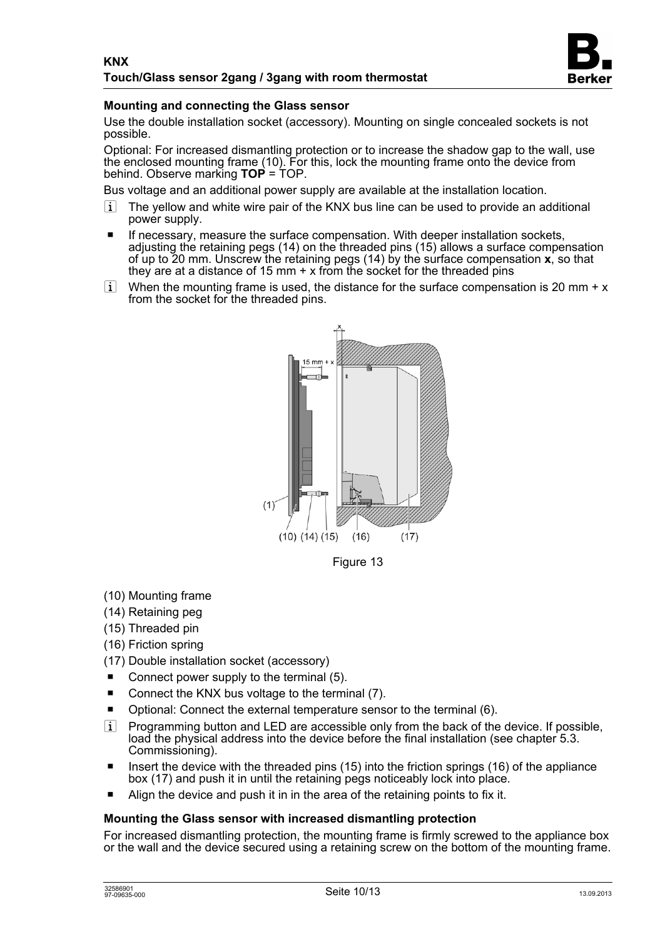

### **Mounting and connecting the Glass sensor**

Use the double installation socket (accessory). Mounting on single concealed sockets is not possible.

Optional: For increased dismantling protection or to increase the shadow gap to the wall, use the enclosed mounting frame (10). For this, lock the mounting frame onto the device from behind. Observe marking **TOP** = TOP.

Bus voltage and an additional power supply are available at the installation location.

- $\overline{1}$  The yellow and white wire pair of the KNX bus line can be used to provide an additional power supply.
- If necessary, measure the surface compensation. With deeper installation sockets, adjusting the retaining pegs (14) on the threaded pins (15) allows a surface compensation of up to 20 mm. Unscrew the retaining pegs (14) by the surface compensation **x**, so that they are at a distance of 15 mm  $+ x$  from the socket for the threaded pins
- i When the mounting frame is used, the distance for the surface compensation is 20 mm +  $x$ from the socket for the threaded pins.



- (10) Mounting frame
- (14) Retaining peg
- (15) Threaded pin
- (16) Friction spring
- (17) Double installation socket (accessory)
- Connect power supply to the terminal  $(5)$ .
- Connect the KNX bus voltage to the terminal  $(7)$ .
- $\blacksquare$  Optional: Connect the external temperature sensor to the terminal (6).
- $\overline{ii}$  Programming button and LED are accessible only from the back of the device. If possible, load the physical address into the device before the final installation (see chapter 5.3. Commissioning).
- **IDED** Insert the device with the threaded pins (15) into the friction springs (16) of the appliance box (17) and push it in until the retaining pegs noticeably lock into place.
- Align the device and push it in in the area of the retaining points to fix it.

#### **Mounting the Glass sensor with increased dismantling protection**

For increased dismantling protection, the mounting frame is firmly screwed to the appliance box or the wall and the device secured using a retaining screw on the bottom of the mounting frame.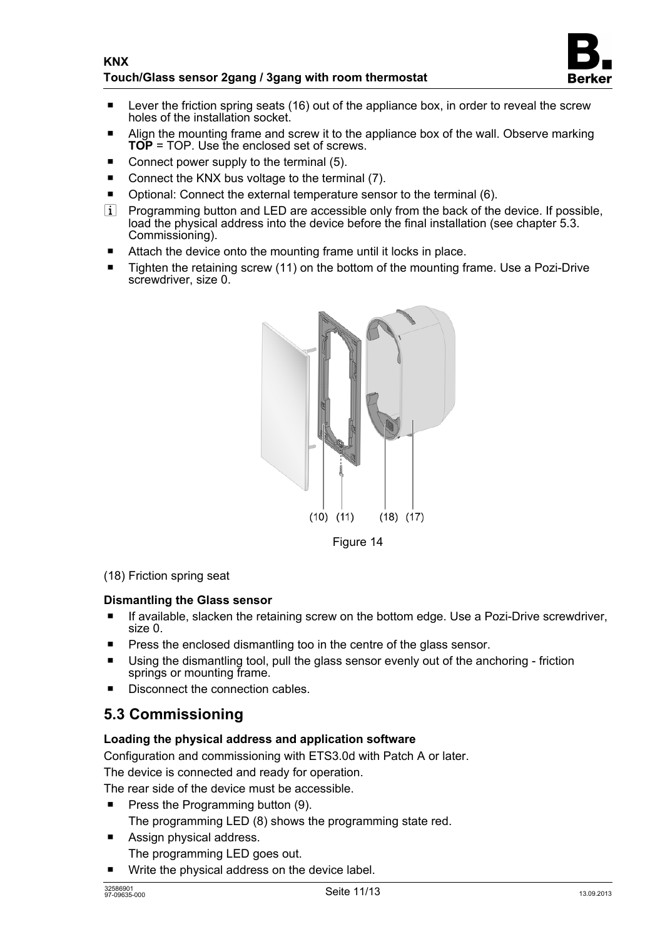

- $\blacksquare$  Lever the friction spring seats (16) out of the appliance box, in order to reveal the screw holes of the installation socket.
- Align the mounting frame and screw it to the appliance box of the wall. Observe marking **TOP** = TOP. Use the enclosed set of screws.
- Connect power supply to the terminal  $(5)$ .
- Connect the KNX bus voltage to the terminal  $(7)$ .
- $\blacksquare$  Optional: Connect the external temperature sensor to the terminal (6).
- $\overline{ii}$  Programming button and LED are accessible only from the back of the device. If possible, load the physical address into the device before the final installation (see chapter 5.3. Commissioning).
- $\blacksquare$  Attach the device onto the mounting frame until it locks in place.
- $\blacksquare$  Tighten the retaining screw (11) on the bottom of the mounting frame. Use a Pozi-Drive screwdriver, size 0.



Figure 14

#### (18) Friction spring seat

#### **Dismantling the Glass sensor**

- **The If available, slacken the retaining screw on the bottom edge. Use a Pozi-Drive screwdriver,** size 0.
- $\blacksquare$  Press the enclosed dismantling too in the centre of the glass sensor.
- Using the dismantling tool, pull the glass sensor evenly out of the anchoring friction springs or mounting frame.
- Disconnect the connection cables.

# **5.3 Commissioning**

### **Loading the physical address and application software**

Configuration and commissioning with ETS3.0d with Patch A or later.

The device is connected and ready for operation.

The rear side of the device must be accessible.

- **Press the Programming button (9).** The programming LED (8) shows the programming state red.
- Assign physical address. The programming LED goes out.
- Write the physical address on the device label.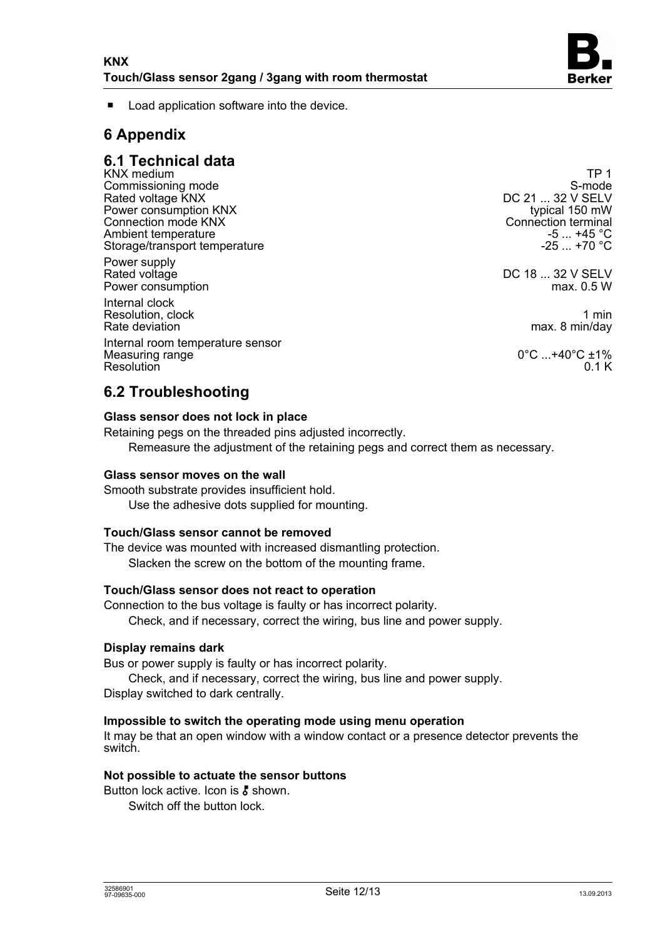

Load application software into the device.

# **6 Appendix**

## **6.1 Technical data**

KNX medium TP 1<br>Commissioning mode that the commissioning mode of the commissioning mode of the commissioning mode of the comm<br>S-mode Commissioning mode<br>Rated voltage KNX and S-mode S-mode S-mode<br>Rated voltage KNX Rated voltage KNX and the Calculus Control of the Calculus Control of the DC 21 ... 32 V SELV<br>Power consumption KNX and the Calculus Control of the Control of the Control of the Control of the Control of Power consumption KNX<br>Connection mode KNX Ambient temperature -5 ... +45 °C<br>Storage/transport temperature -5 ... +70 °C Storage/transport temperature

Power supply<br>Rated voltage Power consumption

Internal clock Resolution, clock 1 min<br>Rate deviation 1 min 2009 1 min 2009 1 min 2009 1 min 2009 1 min 2009 1 min 2009 1 min 2009 1 min 2009 1 min 2

Internal room temperature sensor Measuring range  $0^{\circ}$ C ...+40°C ±1%<br>Resolution 0.1 K Resolution 6.1 K

Connection terminal<br>-5 ...  $+45^{\circ}$ C

DC 18 ... 32 V SELV<br>max. 0.5 W

max. 8 min/day

# **6.2 Troubleshooting**

#### **Glass sensor does not lock in place**

Retaining pegs on the threaded pins adjusted incorrectly. Remeasure the adjustment of the retaining pegs and correct them as necessary.

#### **Glass sensor moves on the wall**

Smooth substrate provides insufficient hold. Use the adhesive dots supplied for mounting.

#### **Touch/Glass sensor cannot be removed**

The device was mounted with increased dismantling protection. Slacken the screw on the bottom of the mounting frame.

#### **Touch/Glass sensor does not react to operation**

Connection to the bus voltage is faulty or has incorrect polarity. Check, and if necessary, correct the wiring, bus line and power supply.

#### **Display remains dark**

Bus or power supply is faulty or has incorrect polarity.

Check, and if necessary, correct the wiring, bus line and power supply. Display switched to dark centrally.

### **Impossible to switch the operating mode using menu operation**

It may be that an open window with a window contact or a presence detector prevents the switch.

#### **Not possible to actuate the sensor buttons**

Button lock active. Icon is  $\bar{k}$  shown.

Switch off the button lock.